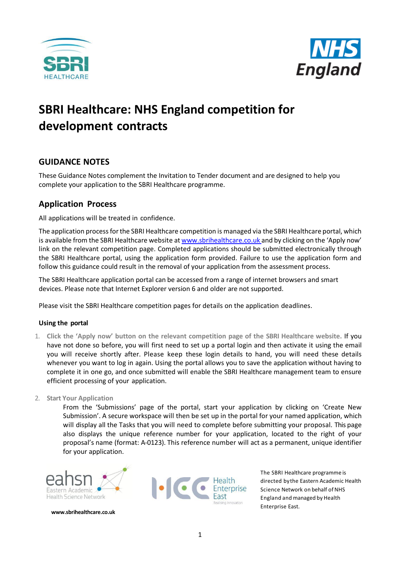



# **SBRI Healthcare: NHS England competition for development contracts**

# **GUIDANCE NOTES**

These Guidance Notes complement the Invitation to Tender document and are designed to help you complete your application to the SBRI Healthcare programme.

# **Application Process**

All applications will be treated in confidence.

The application process for the SBRI Healthcare competition is managed via the SBRI Healthcare portal, which is available from the SBRI Healthcare website a[t www.sbrihealthcare.co.uk](http://www.sbrihealthcare.co.uk/) and by clicking on the 'Apply now' link on the relevant competition page. Completed applications should be submitted electronically through the SBRI Healthcare portal, using the application form provided. Failure to use the application form and follow this guidance could result in the removal of your application from the assessment process.

The SBRI Healthcare application portal can be accessed from a range of internet browsers and smart devices. Please note that Internet Explorer version 6 and older are not supported.

Please visit the SBRI Healthcare competition pages for details on the application deadlines.

# **Using the portal**

- 1. **Click the 'Apply now' button on the relevant competition page of the [SBRI Healthcare website.](http://www.sbrihealthcare.co.uk/)** If you have not done so before, you will first need to set up a portal login and then activate it using the email you will receive shortly after. Please keep these login details to hand, you will need these details whenever you want to log in again. Using the portal allows you to save the application without having to complete it in one go, and once submitted will enable the SBRI Healthcare management team to ensure efficient processing of your application.
- 2. **Start Your Application**

From the 'Submissions' page of the portal, start your application by clicking on 'Create New Submission'. A secure workspace will then be set up in the portal for your named application, which will display all the Tasks that you will need to complete before submitting your proposal. This page also displays the unique reference number for your application, located to the right of your proposal's name (format: A-0123). This reference number will act as a permanent, unique identifier for your application.



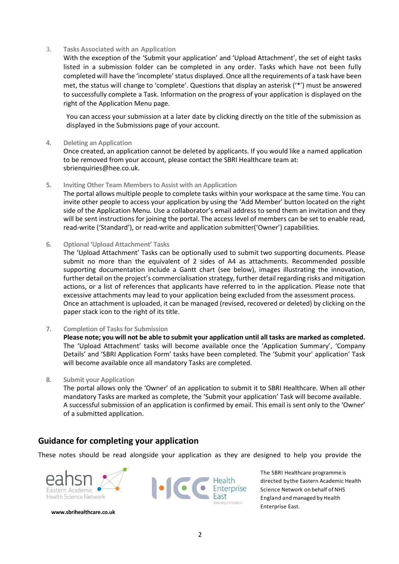#### 3. **Tasks Associated with an Application**

With the exception of the 'Submit your application' and 'Upload Attachment', the set of eight tasks listed in a submission folder can be completed in any order. Tasks which have not been fully completed will have the 'incomplete' status displayed. Once all the requirements of a task have been met, the status will change to 'complete'. Questions that display an asterisk ('\*') must be answered to successfully complete a Task. Information on the progress of your application is displayed on the right of the Application Menu page.

You can access your submission at a later date by clicking directly on the title of the submission as displayed in the Submissions page of your account.

#### **4. Deleting an Application**

Once created, an application cannot be deleted by applicants. If you would like a named application to be removed from your account, please contact the SBRI Healthcare team at: [sbrienquiries@hee.co.uk.](mailto:sbrienquiries@hee.co.uk)

#### **5. Inviting Other Team Members to Assist with an Application**

The portal allows multiple people to complete tasks within your workspace at the same time. You can invite other people to access your application by using the 'Add Member' button located on the right side of the Application Menu. Use a collaborator's email address to send them an invitation and they will be sent instructions for joining the portal. The access level of members can be set to enable read, read-write ('Standard'), or read-write and application submitter('Owner') capabilities.

#### **6. Optional 'Upload Attachment' Tasks**

The 'Upload Attachment' Tasks can be optionally used to submit two supporting documents. Please submit no more than the equivalent of 2 sides of A4 as attachments. Recommended possible supporting documentation include a Gantt chart (see below), images illustrating the innovation, further detail on the project's commercialisation strategy, further detail regarding risks and mitigation actions, or a list of references that applicants have referred to in the application. Please note that excessive attachments may lead to your application being excluded from the assessment process. Once an attachment is uploaded, it can be managed (revised, recovered or deleted) by clicking on the paper stack icon to the right of its title.

#### **7. Completion of Tasks for Submission**

**Please note; you will not be able to submit your application until all tasks are marked as completed.** The 'Upload Attachment' tasks will become available once the 'Application Summary', 'Company Details' and 'SBRI Application Form' tasks have been completed. The 'Submit your' application' Task will become available once all mandatory Tasks are completed.

# **8. Submit your Application**

The portal allows only the 'Owner' of an application to submit it to SBRI Healthcare. When all other mandatory Tasks are marked as complete, the 'Submit your application' Task will become available. A successful submission of an application is confirmed by email. This email is sent only to the 'Owner' of a submitted application.

# **Guidance for completing your application**

These notes should be read alongside your application as they are designed to help you provide the



**[www.sbrihealthcare.co.uk](http://www.sbrihealthcare.co.uk/)**



The SBRI Healthcare programme is directed bythe Eastern Academic Health Science Network on behalf of NHS England and managed by Health Enterprise East.

2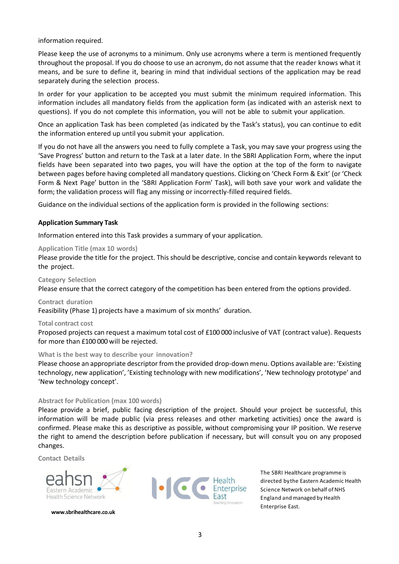information required.

Please keep the use of acronyms to a minimum. Only use acronyms where a term is mentioned frequently throughout the proposal. If you do choose to use an acronym, do not assume that the reader knows what it means, and be sure to define it, bearing in mind that individual sections of the application may be read separately during the selection process.

In order for your application to be accepted you must submit the minimum required information. This information includes all mandatory fields from the application form (as indicated with an asterisk next to questions). If you do not complete this information, you will not be able to submit your application.

Once an application Task has been completed (as indicated by the Task's status), you can continue to edit the information entered up until you submit your application.

If you do not have all the answers you need to fully complete a Task, you may save your progress using the 'Save Progress' button and return to the Task at a later date. In the SBRI Application Form, where the input fields have been separated into two pages, you will have the option at the top of the form to navigate between pages before having completed all mandatory questions. Clicking on 'Check Form & Exit' (or 'Check Form & Next Page' button in the 'SBRI Application Form' Task), will both save your work and validate the form; the validation process will flag any missing or incorrectly-filled required fields.

Guidance on the individual sections of the application form is provided in the following sections:

# **Application Summary Task**

Information entered into this Task provides a summary of your application.

#### **Application Title (max 10 words)**

Please provide the title for the project. This should be descriptive, concise and contain keywords relevant to the project.

#### **Category Selection**

Please ensure that the correct category of the competition has been entered from the options provided.

#### **Contract duration**

Feasibility (Phase 1) projects have a maximum of six months' duration.

#### **Total contract cost**

Proposed projects can request a maximum total cost of £100 000 inclusive of VAT (contract value). Requests for more than £100 000 will be rejected.

#### **What is the best way to describe your innovation?**

Please choose an appropriate descriptor from the provided drop-down menu. Options available are: 'Existing technology, new application', 'Existing technology with new modifications', 'New technology prototype' and 'New technology concept'.

#### **Abstract for Publication (max 100 words)**

Please provide a brief, public facing description of the project. Should your project be successful, this information will be made public (via press releases and other marketing activities) once the award is confirmed. Please make this as descriptive as possible, without compromising your IP position. We reserve the right to amend the description before publication if necessary, but will consult you on any proposed changes.

**Contact Details**



**[www.sbrihealthcare.co.uk](http://www.sbrihealthcare.co.uk/)**

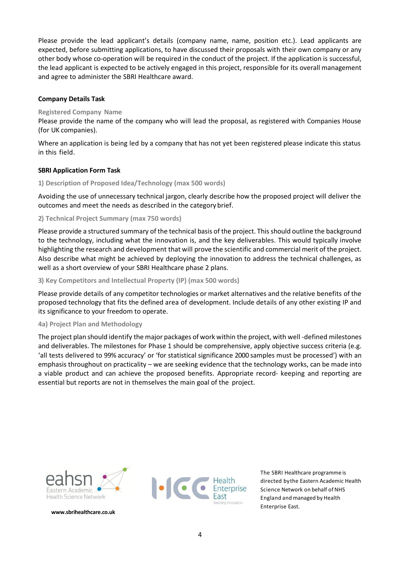Please provide the lead applicant's details (company name, name, position etc.). Lead applicants are expected, before submitting applications, to have discussed their proposals with their own company or any other body whose co-operation will be required in the conduct of the project. If the application is successful, the lead applicant is expected to be actively engaged in this project, responsible for its overall management and agree to administer the SBRI Healthcare award.

# **Company Details Task**

# **Registered Company Name**

Please provide the name of the company who will lead the proposal, as registered with Companies House (for UK companies).

Where an application is being led by a company that has not yet been registered please indicate this status in this field.

# **SBRI Application Form Task**

# **1) Description of Proposed Idea/Technology (max 500 words)**

Avoiding the use of unnecessary technical jargon, clearly describe how the proposed project will deliver the outcomes and meet the needs as described in the categorybrief.

# **2) Technical Project Summary (max 750 words)**

Please provide a structured summary of the technical basis of the project. This should outline the background to the technology, including what the innovation is, and the key deliverables. This would typically involve highlighting the research and development that will prove the scientific and commercial merit of the project. Also describe what might be achieved by deploying the innovation to address the technical challenges, as well as a short overview of your SBRI Healthcare phase 2 plans.

# **3) Key Competitors and Intellectual Property (IP) (max 500 words)**

Please provide details of any competitor technologies or market alternatives and the relative benefits of the proposed technology that fits the defined area of development. Include details of any other existing IP and its significance to your freedom to operate.

# **4a) Project Plan and Methodology**

The project plan should identify the major packages of work within the project, with well -defined milestones and deliverables. The milestones for Phase 1 should be comprehensive, apply objective success criteria (e.g. 'all tests delivered to 99% accuracy' or 'for statistical significance 2000 samples must be processed') with an emphasis throughout on practicality – we are seeking evidence that the technology works, can be made into a viable product and can achieve the proposed benefits. Appropriate record- keeping and reporting are essential but reports are not in themselves the main goal of the project.



**[www.sbrihealthcare.co.uk](http://www.sbrihealthcare.co.uk/)**



The SBRI Healthcare programme is directed bythe Eastern Academic Health Science Network on behalf of NHS England and managed by Health Enterprise East.

4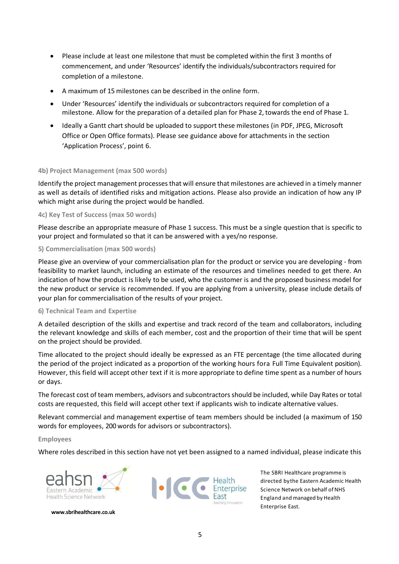- Please include at least one milestone that must be completed within the first 3 months of commencement, and under 'Resources' identify the individuals/subcontractors required for completion of a milestone.
- A maximum of 15 milestones can be described in the online form.
- Under 'Resources' identify the individuals or subcontractors required for completion of a milestone. Allow for the preparation of a detailed plan for Phase 2, towards the end of Phase 1.
- Ideally a Gantt chart should be uploaded to support these milestones (in PDF, JPEG, Microsoft Office or Open Office formats). Please see guidance above for attachments in the section 'Application Process', point 6.

# **4b) Project Management (max 500 words)**

Identify the project management processes that will ensure that milestones are achieved in a timely manner as well as details of identified risks and mitigation actions. Please also provide an indication of how any IP which might arise during the project would be handled.

# **4c) Key Test of Success (max 50 words)**

Please describe an appropriate measure of Phase 1 success. This must be a single question that is specific to your project and formulated so that it can be answered with a yes/no response.

# **5) Commercialisation (max 500 words)**

Please give an overview of your commercialisation plan for the product or service you are developing - from feasibility to market launch, including an estimate of the resources and timelines needed to get there. An indication of how the product is likely to be used, who the customer is and the proposed business model for the new product or service is recommended. If you are applying from a university, please include details of your plan for commercialisation of the results of your project.

# **6) Technical Team and Expertise**

A detailed description of the skills and expertise and track record of the team and collaborators, including the relevant knowledge and skills of each member, cost and the proportion of their time that will be spent on the project should be provided.

Time allocated to the project should ideally be expressed as an FTE percentage (the time allocated during the period of the project indicated as a proportion of the working hours fora Full Time Equivalent position). However, this field will accept other text if it is more appropriate to define time spent as a number of hours or days.

The forecast cost of team members, advisors and subcontractors should be included, while Day Rates or total costs are requested, this field will accept other text if applicants wish to indicate alternative values.

Relevant commercial and management expertise of team members should be included (a maximum of 150 words for employees, 200 words for advisors or subcontractors).

#### **Employees**

Where roles described in this section have not yet been assigned to a named individual, please indicate this



**[www.sbrihealthcare.co.uk](http://www.sbrihealthcare.co.uk/)**

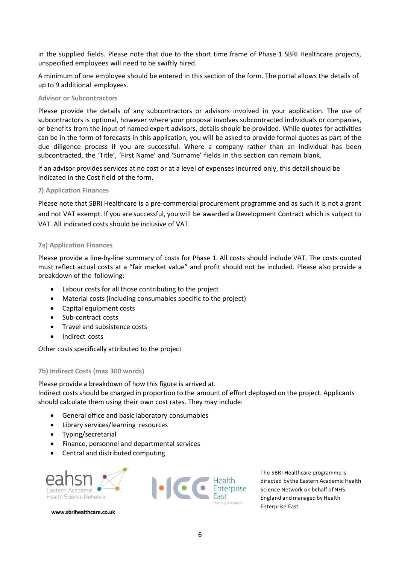in the supplied fields. Please note that due to the short time frame of Phase 1 SBRI Healthcare projects, unspecified employees will need to be swiftly hired.

A minimum of one employee should be entered in this section of the form. The portal allows the details of up to 9 additional employees.

#### **Advisor or Subcontractors**

Please provide the details of any subcontractors or advisors involved in your application. The use of subcontractors is optional, however where your proposal involves subcontracted individuals or companies, or benefits from the input of named expert advisors, details should be provided. While quotes for activities can be in the form of forecasts in this application, you will be asked to provide formal quotes as part of the due diligence process if you are successful. Where a company rather than an individual has been subcontracted, the 'Title', 'First Name' and 'Surname' fields in this section can remain blank.

If an advisor provides services at no cost or at a level of expenses incurred only, this detail should be indicated in the Cost field of the form.

# **7) Application Finances**

Please note that SBRI Healthcare is a pre-commercial procurement programme and as such it is not a grant and not VAT exempt. If you are successful, you will be awarded a Development Contract which is subject to VAT. All indicated costs should be inclusive of VAT.

#### **7a) Application Finances**

Please provide a line-by-line summary of costs for Phase 1. All costs should include VAT. The costs quoted must reflect actual costs at a "fair market value" and profit should not be included. Please also provide a breakdown of the following:

- Labour costs for all those contributing to the project
- Material costs (including consumables specific to the project)
- Capital equipment costs
- Sub-contract costs
- Travel and subsistence costs
- Indirect costs

Other costs specifically attributed to the project

#### **7b) Indirect Costs (max 300 words)**

Please provide a breakdown of how this figure is arrived at.

Indirect costsshould be charged in proportion to the amount of effort deployed on the project. Applicants should calculate them using their own cost rates. They may include:

- General office and basic laboratory consumables
- Library services/learning resources
- Typing/secretarial
- Finance, personnel and departmental services
- Central and distributed computing



**[www.sbrihealthcare.co.uk](http://www.sbrihealthcare.co.uk/)**

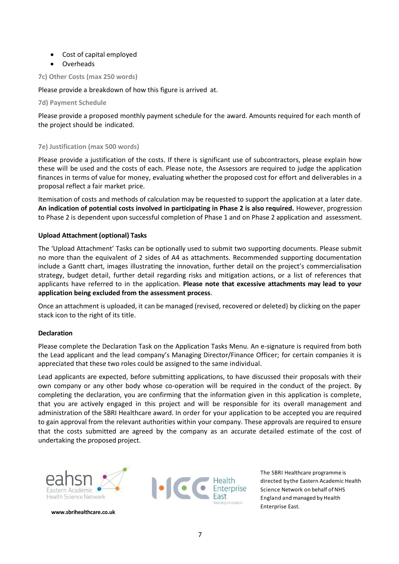- Cost of capital employed
- Overheads

**7c) Other Costs (max 250 words)**

Please provide a breakdown of how this figure is arrived at.

**7d) Payment Schedule**

Please provide a proposed monthly payment schedule for the award. Amounts required for each month of the project should be indicated.

# **7e) Justification (max 500 words)**

Please provide a justification of the costs. If there is significant use of subcontractors, please explain how these will be used and the costs of each. Please note, the Assessors are required to judge the application finances in terms of value for money, evaluating whether the proposed cost for effort and deliverables in a proposal reflect a fair market price.

Itemisation of costs and methods of calculation may be requested to support the application at a later date. **An indication of potential costs involved in participating in Phase 2 is also required.** However, progression to Phase 2 is dependent upon successful completion of Phase 1 and on Phase 2 application and assessment.

# **Upload Attachment (optional) Tasks**

The 'Upload Attachment' Tasks can be optionally used to submit two supporting documents. Please submit no more than the equivalent of 2 sides of A4 as attachments. Recommended supporting documentation include a Gantt chart, images illustrating the innovation, further detail on the project's commercialisation strategy, budget detail, further detail regarding risks and mitigation actions, or a list of references that applicants have referred to in the application. **Please note that excessive attachments may lead to your application being excluded from the assessment process**.

Once an attachment is uploaded, it can be managed (revised, recovered or deleted) by clicking on the paper stack icon to the right of its title.

# **Declaration**

Please complete the Declaration Task on the Application Tasks Menu. An e-signature is required from both the Lead applicant and the lead company's Managing Director/Finance Officer; for certain companies it is appreciated that these two roles could be assigned to the same individual.

Lead applicants are expected, before submitting applications, to have discussed their proposals with their own company or any other body whose co-operation will be required in the conduct of the project. By completing the declaration, you are confirming that the information given in this application is complete, that you are actively engaged in this project and will be responsible for its overall management and administration of the SBRI Healthcare award. In order for your application to be accepted you are required to gain approval from the relevant authorities within your company. These approvals are required to ensure that the costs submitted are agreed by the company as an accurate detailed estimate of the cost of undertaking the proposed project.



**[www.sbrihealthcare.co.uk](http://www.sbrihealthcare.co.uk/)**